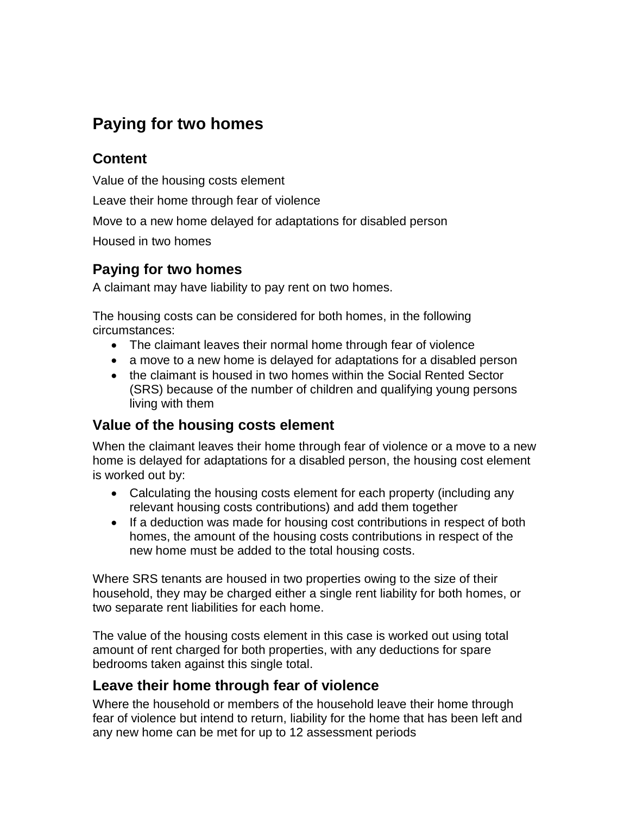# **Paying for two homes**

#### **Content**

Value of the housing costs element

Leave their home through fear of violence

Move to a new home delayed for adaptations for disabled person

Housed in two homes

### **Paying for two homes**

A claimant may have liability to pay rent on two homes.

The housing costs can be considered for both homes, in the following circumstances:

- The claimant leaves their normal home through fear of violence
- a move to a new home is delayed for adaptations for a disabled person
- the claimant is housed in two homes within the Social Rented Sector (SRS) because of the number of children and qualifying young persons living with them

## **Value of the housing costs element**

When the claimant leaves their home through fear of violence or a move to a new home is delayed for adaptations for a disabled person, the housing cost element is worked out by:

- Calculating the housing costs element for each property (including any relevant housing costs contributions) and add them together
- If a deduction was made for housing cost contributions in respect of both homes, the amount of the housing costs contributions in respect of the new home must be added to the total housing costs.

Where SRS tenants are housed in two properties owing to the size of their household, they may be charged either a single rent liability for both homes, or two separate rent liabilities for each home.

The value of the housing costs element in this case is worked out using total amount of rent charged for both properties, with any deductions for spare bedrooms taken against this single total.

## **Leave their home through fear of violence**

Where the household or members of the household leave their home through fear of violence but intend to return, liability for the home that has been left and any new home can be met for up to 12 assessment periods